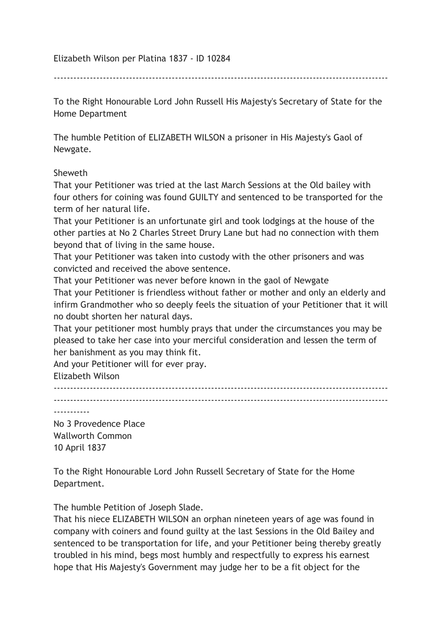Elizabeth Wilson per Platina 1837 - ID 10284

------------------------------------------------------------------------------------------------------

To the Right Honourable Lord John Russell His Majesty's Secretary of State for the Home Department

The humble Petition of ELIZABETH WILSON a prisoner in His Majesty's Gaol of Newgate.

## Sheweth

That your Petitioner was tried at the last March Sessions at the Old bailey with four others for coining was found GUILTY and sentenced to be transported for the term of her natural life.

That your Petitioner is an unfortunate girl and took lodgings at the house of the other parties at No 2 Charles Street Drury Lane but had no connection with them beyond that of living in the same house.

That your Petitioner was taken into custody with the other prisoners and was convicted and received the above sentence.

That your Petitioner was never before known in the gaol of Newgate That your Petitioner is friendless without father or mother and only an elderly and infirm Grandmother who so deeply feels the situation of your Petitioner that it will no doubt shorten her natural days.

That your petitioner most humbly prays that under the circumstances you may be pleased to take her case into your merciful consideration and lessen the term of her banishment as you may think fit.

And your Petitioner will for ever pray.

Elizabeth Wilson

------------------------------------------------------------------------------------------------------ ------------------------------------------------------------------------------------------------------

-----------

No 3 Provedence Place Wallworth Common 10 April 1837

To the Right Honourable Lord John Russell Secretary of State for the Home Department.

The humble Petition of Joseph Slade.

That his niece ELIZABETH WILSON an orphan nineteen years of age was found in company with coiners and found guilty at the last Sessions in the Old Bailey and sentenced to be transportation for life, and your Petitioner being thereby greatly troubled in his mind, begs most humbly and respectfully to express his earnest hope that His Majesty's Government may judge her to be a fit object for the